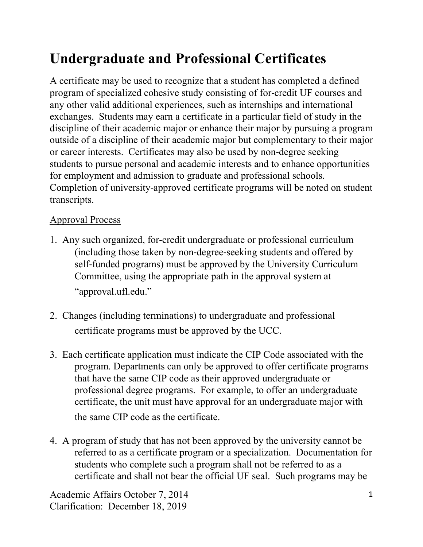## **Undergraduate and Professional Certificates**

A certificate may be used to recognize that a student has completed a defined program of specialized cohesive study consisting of for‐credit UF courses and any other valid additional experiences, such as internships and international exchanges. Students may earn a certificate in a particular field of study in the discipline of their academic major or enhance their major by pursuing a program outside of a discipline of their academic major but complementary to their major or career interests. Certificates may also be used by non‐degree seeking students to pursue personal and academic interests and to enhance opportunities for employment and admission to graduate and professional schools. Completion of university‐approved certificate programs will be noted on student transcripts.

## Approval Process

- 1. Any such organized, for‐credit undergraduate or professional curriculum (including those taken by non‐degree‐seeking students and offered by self-funded programs) must be approved by the University Curriculum Committee, using the appropriate path in the approval system at "approval.ufl.edu."
- 2. Changes (including terminations) to undergraduate and professional certificate programs must be approved by the UCC.
- 3. Each certificate application must indicate the CIP Code associated with the program. Departments can only be approved to offer certificate programs that have the same CIP code as their approved undergraduate or professional degree programs. For example, to offer an undergraduate certificate, the unit must have approval for an undergraduate major with the same CIP code as the certificate.
- 4. A program of study that has not been approved by the university cannot be referred to as a certificate program or a specialization. Documentation for students who complete such a program shall not be referred to as a certificate and shall not bear the official UF seal. Such programs may be

Academic Affairs October 7, 2014 Clarification: December 18, 2019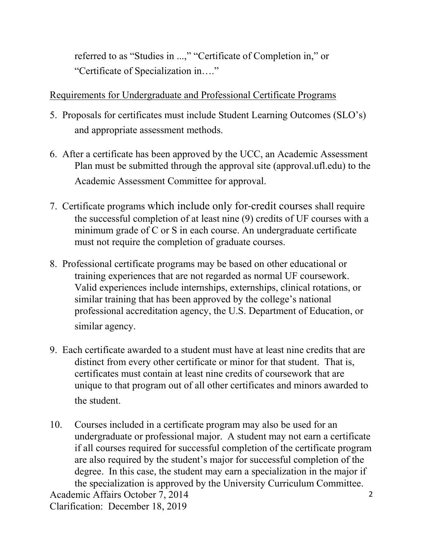referred to as "Studies in ...," "Certificate of Completion in," or "Certificate of Specialization in…."

## Requirements for Undergraduate and Professional Certificate Programs

- 5. Proposals for certificates must include Student Learning Outcomes (SLO's) and appropriate assessment methods.
- 6. After a certificate has been approved by the UCC, an Academic Assessment Plan must be submitted through the approval site (approval.ufl.edu) to the Academic Assessment Committee for approval.
- 7. Certificate programs which include only for‐credit courses shall require the successful completion of at least nine (9) credits of UF courses with a minimum grade of C or S in each course. An undergraduate certificate must not require the completion of graduate courses.
- 8. Professional certificate programs may be based on other educational or training experiences that are not regarded as normal UF coursework. Valid experiences include internships, externships, clinical rotations, or similar training that has been approved by the college's national professional accreditation agency, the U.S. Department of Education, or similar agency.
- 9. Each certificate awarded to a student must have at least nine credits that are distinct from every other certificate or minor for that student. That is, certificates must contain at least nine credits of coursework that are unique to that program out of all other certificates and minors awarded to the student.
- 10. Courses included in a certificate program may also be used for an undergraduate or professional major. A student may not earn a certificate if all courses required for successful completion of the certificate program are also required by the student's major for successful completion of the degree. In this case, the student may earn a specialization in the major if the specialization is approved by the University Curriculum Committee.

Academic Affairs October 7, 2014 Clarification: December 18, 2019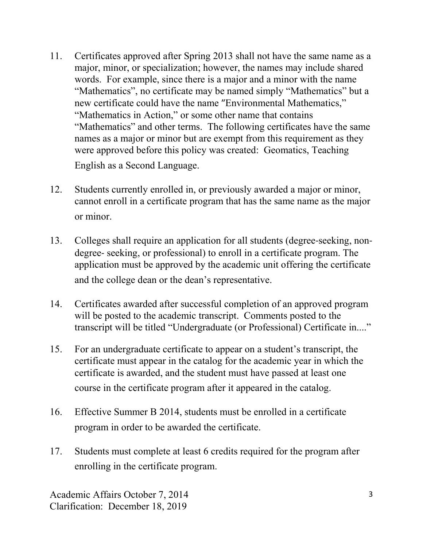- 11. Certificates approved after Spring 2013 shall not have the same name as a major, minor, or specialization; however, the names may include shared words. For example, since there is a major and a minor with the name "Mathematics", no certificate may be named simply "Mathematics" but a new certificate could have the name "Environmental Mathematics," "Mathematics in Action," or some other name that contains "Mathematics" and other terms. The following certificates have the same names as a major or minor but are exempt from this requirement as they were approved before this policy was created: Geomatics, Teaching English as a Second Language.
- 12. Students currently enrolled in, or previously awarded a major or minor, cannot enroll in a certificate program that has the same name as the major or minor.
- 13. Colleges shall require an application for all students (degree‐seeking, non‐ degree‐ seeking, or professional) to enroll in a certificate program. The application must be approved by the academic unit offering the certificate and the college dean or the dean's representative.
- 14. Certificates awarded after successful completion of an approved program will be posted to the academic transcript. Comments posted to the transcript will be titled "Undergraduate (or Professional) Certificate in...."
- 15. For an undergraduate certificate to appear on a student's transcript, the certificate must appear in the catalog for the academic year in which the certificate is awarded, and the student must have passed at least one course in the certificate program after it appeared in the catalog.
- 16. Effective Summer B 2014, students must be enrolled in a certificate program in order to be awarded the certificate.
- 17. Students must complete at least 6 credits required for the program after enrolling in the certificate program.

Academic Affairs October 7, 2014 Clarification: December 18, 2019